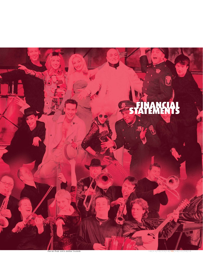

Pied de Poule and La Bottine Souriante

厉

**10|11|12|13|14| 1 5 |16|17|18|19**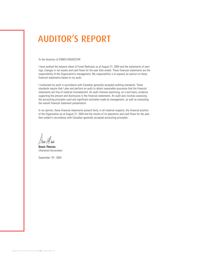## AUDITOR'S REPORT

#### To the directors of FONDS RADIOSTAR

I have audited the balance sheet of Fonds Radiostar as at August 31, 2004 and the statements of earnings, changes in net assets and cash flows for the year then ended. These financial statements are the responsibility of the Organization's management. My responsibility is to express an opinion on these financial statements based on my audit.

I conducted my audit in accordance with Canadian generally accepted auditing standards. These standards require that I plan and perform an audit to obtain reasonable assurance that the financial statements are free of material misstatement. An audit involves examining, on a test basis, evidence supporting the amount and disclosures in the financial statements. An audit also involves assessing the accounting principles used and significant estimates made by management, as well as evaluating the overall financial statement presentation.

In my opinion, these financial statements present fairly, in all material respects, the financial position of the Organization as at August 31, 2004 and the results of its operations and cash flows for the year then ended in accordance with Canadian generally accepted accounting principles.

**Denis Thérien** Chartered Accountant

September 16th, 2004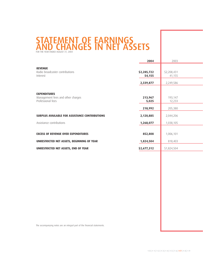## STATEMENT OF EARNINGS AND CHANGES IN NET ASSETS

|                                                          | 2004        | 2003        |  |
|----------------------------------------------------------|-------------|-------------|--|
| <b>REVENUE</b>                                           |             |             |  |
| Radio broadcaster contributions                          | \$2,285,722 | \$2,208,431 |  |
| Interest                                                 | 54,155      | 41,155      |  |
|                                                          | 2,339,877   | 2,249,586   |  |
|                                                          |             |             |  |
| <b>EXPENDITURES</b><br>Management fees and other charges | 213,967     | 193,147     |  |
| Professional fees                                        | 5,025       | 12,233      |  |
|                                                          |             |             |  |
|                                                          | 218,992     | 205,380     |  |
| <b>SURPLUS AVAILABLE FOR ASSISTANCE CONTRIBUTIONS</b>    | 2,120,885   | 2,044,206   |  |
| Assistance contributions                                 | 1,268,077   | 1,038,105   |  |
|                                                          |             |             |  |
| <b>EXCESS OF REVENUE OVER EXPENDITURES</b>               | 852,808     | 1,006,101   |  |
| UNRESTRICTED NET ASSETS, BEGINNING OF YEAR               | 1,824,504   | 818,403     |  |
| UNRESTRICTED NET ASSETS, END OF YEAR                     | \$2,677,312 | \$1,824,504 |  |
|                                                          |             |             |  |

The accompanying notes are an integral part of the financial statements.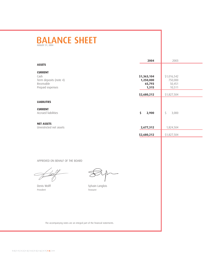# BALANCE SHEET

|                                                                                    | 2004                                        | 2003                                       |
|------------------------------------------------------------------------------------|---------------------------------------------|--------------------------------------------|
| <b>ASSETS</b>                                                                      |                                             |                                            |
| <b>CURRENT</b><br>Cash<br>Term deposits (note 4)<br>Receivable<br>Prepaid expenses | \$1,363,104<br>1,250,000<br>65,793<br>1,315 | \$1,016,542<br>750,000<br>50,451<br>10,511 |
|                                                                                    | \$2,680,212                                 | \$1,827,504                                |
| <b>LIABILITIES</b><br><b>CURRENT</b>                                               |                                             |                                            |
| Accrued liabilities                                                                | \$<br>2,900                                 | \$<br>3,000                                |
| <b>NET ASSETS</b><br>Unrestricted net assets                                       | 2,677,312                                   | 1,824,504                                  |
|                                                                                    | \$2,680,212                                 | \$1,827,504                                |
|                                                                                    |                                             |                                            |

APPROVED ON BEHALF OF THE BOARD

President Treasurer

Denis Wolff Sylvain Langlois

The accompanying notes are an integral part of the financial statements.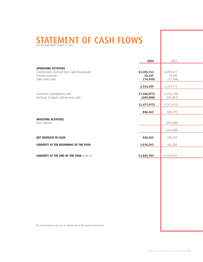# STATEMENT OF CASH FLOWS

|                                                                                                                       | 2004                                    | 2003                                   |
|-----------------------------------------------------------------------------------------------------------------------|-----------------------------------------|----------------------------------------|
| <b>OPERATING ACTIVITIES</b><br>Contributions received from radio broadcaster<br>Interest received<br>Sales taxes paid | \$2,285,722<br>53,247<br>(14, 430)      | \$2,208,431<br>18,248<br>(12, 508)     |
| Assistance contributions paid<br>Purchase of goods and sercives paid                                                  | 2,324,539<br>(1, 268, 077)<br>(209,900) | 2,214,171<br>(1,038,105)<br>(335, 807) |
|                                                                                                                       | (1,477,977)                             | (1, 373, 912)                          |
|                                                                                                                       | 846,562                                 | 840,259                                |
| <b>INVESTING ACTIVITIES</b><br>Term deposit                                                                           |                                         | (250,000)                              |
|                                                                                                                       |                                         | (250,000)                              |
| <b>NET INCREASE IN CASH</b>                                                                                           | 846,562                                 | 590,259                                |
| LIQUIDITY AT THE BEGINNING OF THE YEAR                                                                                | 1,016,542                               | 426,283                                |
| <b>LIQUIDITY AT THE END OF THE YEAR (note 5)</b>                                                                      | \$1,863,104                             | \$1,016,542                            |
|                                                                                                                       |                                         |                                        |
|                                                                                                                       |                                         |                                        |
|                                                                                                                       |                                         |                                        |
|                                                                                                                       |                                         |                                        |

The accompanying notes are an integral part of the financial statements.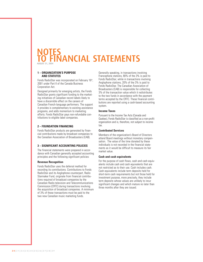### NOTES **TO FINANCIAL STATEMENTS**

#### **1 – ORGANIZATION'S PURPOSE AND STATUTES**

Fonds RadioStar was incorporated on February 16<sup>th</sup>, 2001 under Part II of the Canada Business Corporation Act.

Designed primarily for emerging artists, the Fonds RadioStar grants significant funding to the marketing initiatives of Canadian record labels likely to have a discernible effect on the careers of Canadian French-language performers. The support it provides is complementary to existing assistance programs, and adds momentum to marketing efforts. Fonds RadioStar pays non-refundable contributions to eligible label companies.

#### **2 – FOUNDATION FINANCING**

Fonds RadioStar products are generated by financial contributions made by broadcast companies to the Canadian Association of Broadcasters (CAB).

#### **3 – SIGNIFICANT ACCOUNTING POLICIES**

The financial statements were prepared in accordance with Canadian generally accepted accounting principles and the following significant policies:

#### **Revenue Recognition**

Fonds RadioStar uses the deferral method for recording its contributions. Contributions to Fonds RadioStar and its Anglophone counterpart, Radio Starmaker Fund, originate from financial contributions required of broadcast companies by the Canadian Radio-television and Telecommunications Commission (CRTC) during transactions involving the acquisition of broadcast companies. A minimum of 3% of these transactions must be paid to the two new Canadian music marketing funds.

Generally speaking, in transactions involving Francophone stations, 80% of the 3% is paid to Fonds RadioStar; while in transactions involving Anglophone stations, 20% of the 3% is paid to Fonds RadioStar. The Canadian Association of Broadcasters (CAB) is responsible for collecting 3% of the transaction value which it redistributes to the two funds in accordance with the payment terms accepted by the CRTC. These financial contributions are reported using a cash-based accounting system.

#### **Income Taxes**

Pursuant to the Income Tax Acts (Canada and Quebec), Fonds RadioStar is classified as a non-profit organization and is, therefore, not subject to income tax.

#### **Contributed Services**

Members of the organization's Board of Directors attend Board meetings without monetary compensation. The value of the time donated by these individuals is not recorded in the financial statements as it would be difficult to measure its fair market value.

#### **Cash and cash equivalents**

For the purpose of cash flows, cash and cash equivalents include cash and cash equivalents that are not restricted as to their use. Cash includes cash. Cash equivalents include term deposits held for short-term cash requirements but not those held for investment purpose, more precisely, they include term deposits whose values are unlikely to incur significant changes and which mature no later than three months after they are issued.